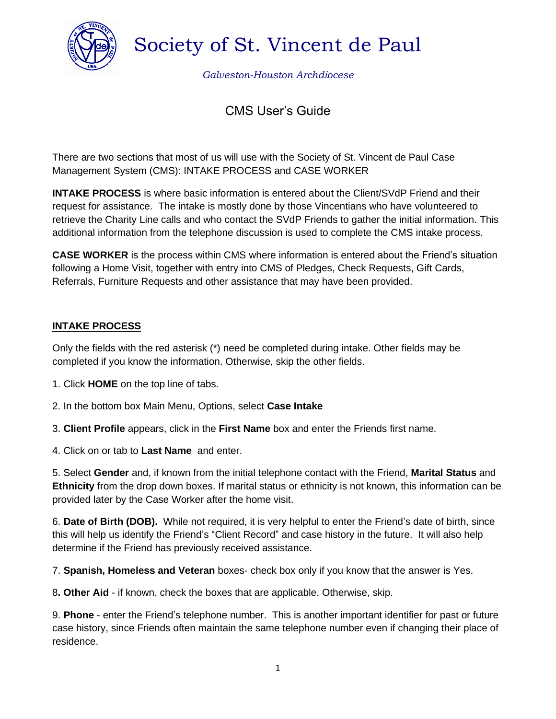

Society of St. Vincent de Paul

*Galveston-Houston Archdiocese*

# CMS User's Guide

There are two sections that most of us will use with the Society of St. Vincent de Paul Case Management System (CMS): INTAKE PROCESS and CASE WORKER

**INTAKE PROCESS** is where basic information is entered about the Client/SVdP Friend and their request for assistance. The intake is mostly done by those Vincentians who have volunteered to retrieve the Charity Line calls and who contact the SVdP Friends to gather the initial information. This additional information from the telephone discussion is used to complete the CMS intake process.

**CASE WORKER** is the process within CMS where information is entered about the Friend's situation following a Home Visit, together with entry into CMS of Pledges, Check Requests, Gift Cards, Referrals, Furniture Requests and other assistance that may have been provided.

### **INTAKE PROCESS**

Only the fields with the red asterisk (\*) need be completed during intake. Other fields may be completed if you know the information. Otherwise, skip the other fields.

- 1. Click **HOME** on the top line of tabs.
- 2. In the bottom box Main Menu, Options, select **Case Intake**
- 3. **Client Profile** appears, click in the **First Name** box and enter the Friends first name.
- 4. Click on or tab to **Last Name** and enter.

5. Select **Gender** and, if known from the initial telephone contact with the Friend, **Marital Status** and **Ethnicity** from the drop down boxes. If marital status or ethnicity is not known, this information can be provided later by the Case Worker after the home visit.

6. **Date of Birth (DOB).** While not required, it is very helpful to enter the Friend's date of birth, since this will help us identify the Friend's "Client Record" and case history in the future. It will also help determine if the Friend has previously received assistance.

7. **Spanish, Homeless and Veteran** boxes- check box only if you know that the answer is Yes.

8**. Other Aid** - if known, check the boxes that are applicable. Otherwise, skip.

9. **Phone** - enter the Friend's telephone number. This is another important identifier for past or future case history, since Friends often maintain the same telephone number even if changing their place of residence.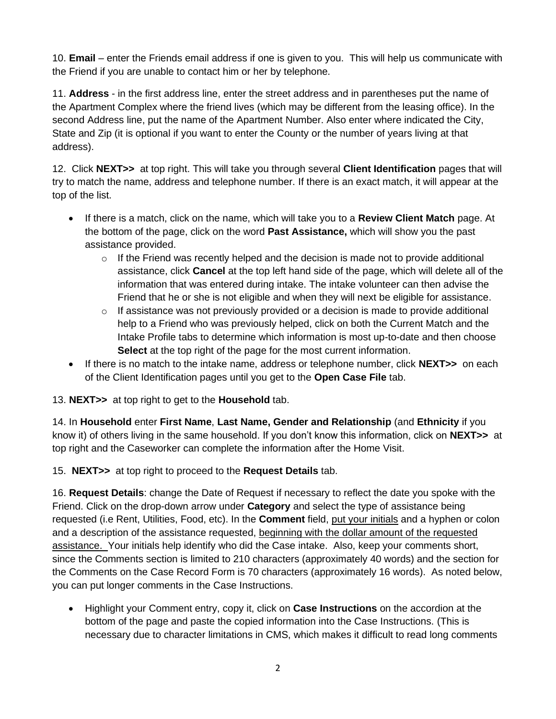10. **Email** – enter the Friends email address if one is given to you. This will help us communicate with the Friend if you are unable to contact him or her by telephone.

11. **Address** - in the first address line, enter the street address and in parentheses put the name of the Apartment Complex where the friend lives (which may be different from the leasing office). In the second Address line, put the name of the Apartment Number. Also enter where indicated the City, State and Zip (it is optional if you want to enter the County or the number of years living at that address).

12. Click **NEXT>>** at top right. This will take you through several **Client Identification** pages that will try to match the name, address and telephone number. If there is an exact match, it will appear at the top of the list.

- If there is a match, click on the name, which will take you to a **Review Client Match** page. At the bottom of the page, click on the word **Past Assistance,** which will show you the past assistance provided.
	- $\circ$  If the Friend was recently helped and the decision is made not to provide additional assistance, click **Cancel** at the top left hand side of the page, which will delete all of the information that was entered during intake. The intake volunteer can then advise the Friend that he or she is not eligible and when they will next be eligible for assistance.
	- $\circ$  If assistance was not previously provided or a decision is made to provide additional help to a Friend who was previously helped, click on both the Current Match and the Intake Profile tabs to determine which information is most up-to-date and then choose **Select** at the top right of the page for the most current information.
- If there is no match to the intake name, address or telephone number, click **NEXT>>** on each of the Client Identification pages until you get to the **Open Case File** tab.

13. **NEXT>>** at top right to get to the **Household** tab.

14. In **Household** enter **First Name**, **Last Name, Gender and Relationship** (and **Ethnicity** if you know it) of others living in the same household. If you don't know this information, click on **NEXT>>** at top right and the Caseworker can complete the information after the Home Visit.

15. **NEXT>>** at top right to proceed to the **Request Details** tab.

16. **Request Details**: change the Date of Request if necessary to reflect the date you spoke with the Friend. Click on the drop-down arrow under **Category** and select the type of assistance being requested (i.e Rent, Utilities, Food, etc). In the **Comment** field, put your initials and a hyphen or colon and a description of the assistance requested, beginning with the dollar amount of the requested assistance. Your initials help identify who did the Case intake. Also, keep your comments short, since the Comments section is limited to 210 characters (approximately 40 words) and the section for the Comments on the Case Record Form is 70 characters (approximately 16 words). As noted below, you can put longer comments in the Case Instructions.

• Highlight your Comment entry, copy it, click on **Case Instructions** on the accordion at the bottom of the page and paste the copied information into the Case Instructions. (This is necessary due to character limitations in CMS, which makes it difficult to read long comments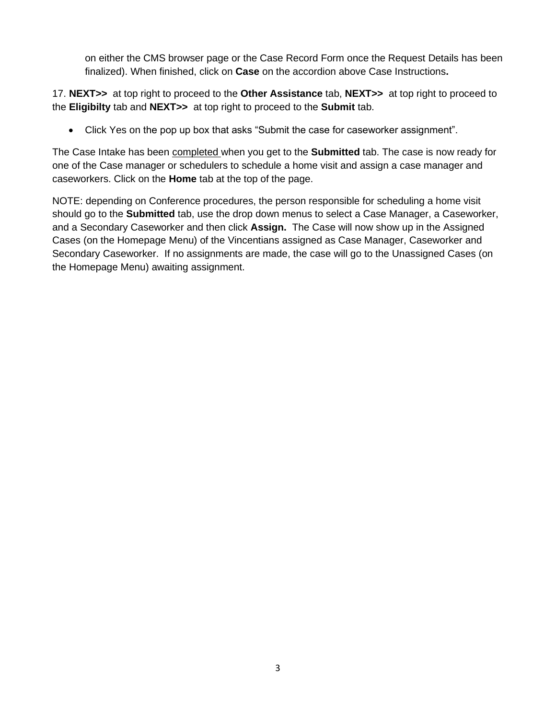on either the CMS browser page or the Case Record Form once the Request Details has been finalized). When finished, click on **Case** on the accordion above Case Instructions**.**

17. **NEXT>>** at top right to proceed to the **Other Assistance** tab, **NEXT>>** at top right to proceed to the **Eligibilty** tab and **NEXT>>** at top right to proceed to the **Submit** tab.

• Click Yes on the pop up box that asks "Submit the case for caseworker assignment".

The Case Intake has been completed when you get to the **Submitted** tab. The case is now ready for one of the Case manager or schedulers to schedule a home visit and assign a case manager and caseworkers. Click on the **Home** tab at the top of the page.

NOTE: depending on Conference procedures, the person responsible for scheduling a home visit should go to the **Submitted** tab, use the drop down menus to select a Case Manager, a Caseworker, and a Secondary Caseworker and then click **Assign.** The Case will now show up in the Assigned Cases (on the Homepage Menu) of the Vincentians assigned as Case Manager, Caseworker and Secondary Caseworker. If no assignments are made, the case will go to the Unassigned Cases (on the Homepage Menu) awaiting assignment.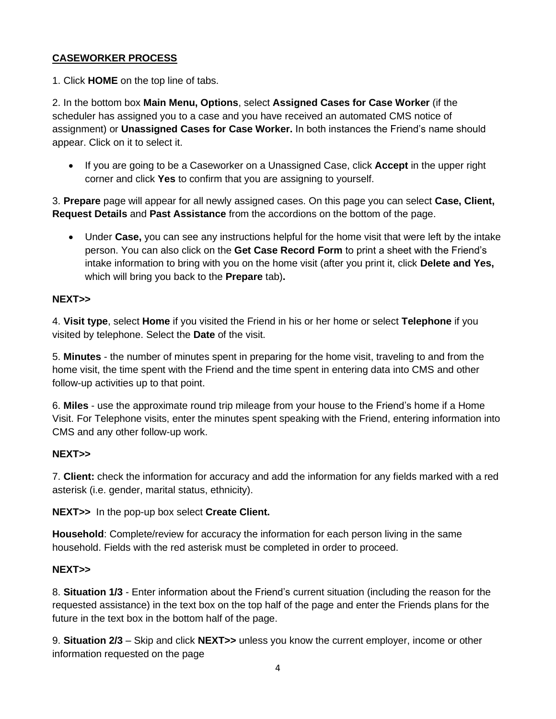### **CASEWORKER PROCESS**

1. Click **HOME** on the top line of tabs.

2. In the bottom box **Main Menu, Options**, select **Assigned Cases for Case Worker** (if the scheduler has assigned you to a case and you have received an automated CMS notice of assignment) or **Unassigned Cases for Case Worker.** In both instances the Friend's name should appear. Click on it to select it.

• If you are going to be a Caseworker on a Unassigned Case, click **Accept** in the upper right corner and click **Yes** to confirm that you are assigning to yourself.

3. **Prepare** page will appear for all newly assigned cases. On this page you can select **Case, Client, Request Details** and **Past Assistance** from the accordions on the bottom of the page.

• Under **Case,** you can see any instructions helpful for the home visit that were left by the intake person. You can also click on the **Get Case Record Form** to print a sheet with the Friend's intake information to bring with you on the home visit (after you print it, click **Delete and Yes,**  which will bring you back to the **Prepare** tab)**.**

#### **NEXT>>**

4. **Visit type**, select **Home** if you visited the Friend in his or her home or select **Telephone** if you visited by telephone. Select the **Date** of the visit.

5. **Minutes** - the number of minutes spent in preparing for the home visit, traveling to and from the home visit, the time spent with the Friend and the time spent in entering data into CMS and other follow-up activities up to that point.

6. **Miles** - use the approximate round trip mileage from your house to the Friend's home if a Home Visit. For Telephone visits, enter the minutes spent speaking with the Friend, entering information into CMS and any other follow-up work.

#### **NEXT>>**

7. **Client:** check the information for accuracy and add the information for any fields marked with a red asterisk (i.e. gender, marital status, ethnicity).

**NEXT>>** In the pop-up box select **Create Client.**

**Household**: Complete/review for accuracy the information for each person living in the same household. Fields with the red asterisk must be completed in order to proceed.

#### **NEXT>>**

8. **Situation 1/3** - Enter information about the Friend's current situation (including the reason for the requested assistance) in the text box on the top half of the page and enter the Friends plans for the future in the text box in the bottom half of the page.

9. **Situation 2/3** – Skip and click **NEXT>>** unless you know the current employer, income or other information requested on the page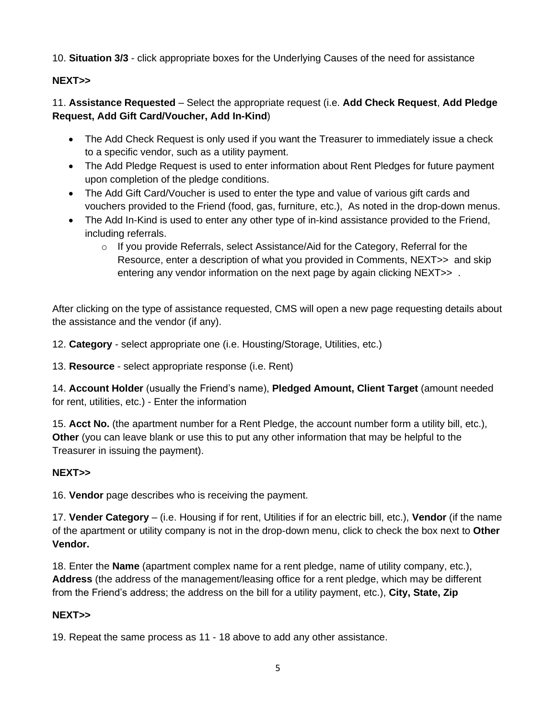10. **Situation 3/3** - click appropriate boxes for the Underlying Causes of the need for assistance

# **NEXT>>**

11. **Assistance Requested** – Select the appropriate request (i.e. **Add Check Request**, **Add Pledge Request, Add Gift Card/Voucher, Add In-Kind**)

- The Add Check Request is only used if you want the Treasurer to immediately issue a check to a specific vendor, such as a utility payment.
- The Add Pledge Request is used to enter information about Rent Pledges for future payment upon completion of the pledge conditions.
- The Add Gift Card/Voucher is used to enter the type and value of various gift cards and vouchers provided to the Friend (food, gas, furniture, etc.), As noted in the drop-down menus.
- The Add In-Kind is used to enter any other type of in-kind assistance provided to the Friend, including referrals.
	- $\circ$  If you provide Referrals, select Assistance/Aid for the Category, Referral for the Resource, enter a description of what you provided in Comments, NEXT>> and skip entering any vendor information on the next page by again clicking NEXT>> .

After clicking on the type of assistance requested, CMS will open a new page requesting details about the assistance and the vendor (if any).

12. **Category** - select appropriate one (i.e. Housting/Storage, Utilities, etc.)

13. **Resource** - select appropriate response (i.e. Rent)

14. **Account Holder** (usually the Friend's name), **Pledged Amount, Client Target** (amount needed for rent, utilities, etc.) - Enter the information

15. **Acct No.** (the apartment number for a Rent Pledge, the account number form a utility bill, etc.), **Other** (you can leave blank or use this to put any other information that may be helpful to the Treasurer in issuing the payment).

# **NEXT>>**

16. **Vendor** page describes who is receiving the payment.

17. **Vender Category** – (i.e. Housing if for rent, Utilities if for an electric bill, etc.), **Vendor** (if the name of the apartment or utility company is not in the drop-down menu, click to check the box next to **Other Vendor.**

18. Enter the **Name** (apartment complex name for a rent pledge, name of utility company, etc.), **Address** (the address of the management/leasing office for a rent pledge, which may be different from the Friend's address; the address on the bill for a utility payment, etc.), **City, State, Zip**

# **NEXT>>**

19. Repeat the same process as 11 - 18 above to add any other assistance.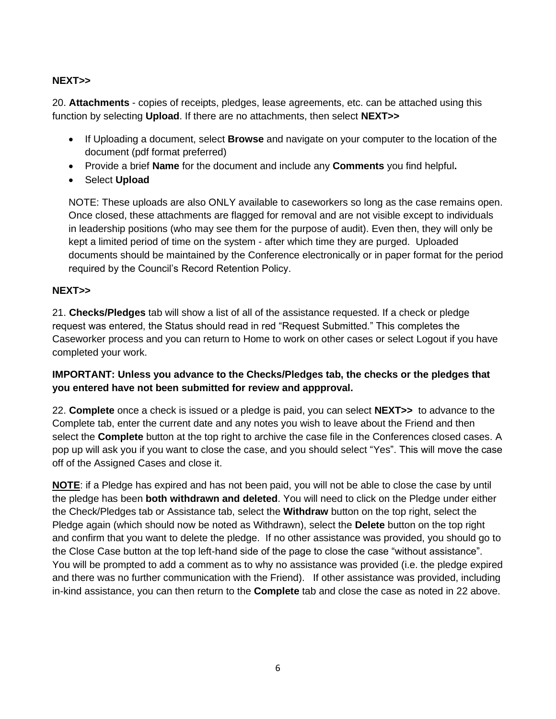# **NEXT>>**

20. **Attachments** - copies of receipts, pledges, lease agreements, etc. can be attached using this function by selecting **Upload**. If there are no attachments, then select **NEXT>>** 

- If Uploading a document, select **Browse** and navigate on your computer to the location of the document (pdf format preferred)
- Provide a brief **Name** for the document and include any **Comments** you find helpful**.**
- Select **Upload**

NOTE: These uploads are also ONLY available to caseworkers so long as the case remains open. Once closed, these attachments are flagged for removal and are not visible except to individuals in leadership positions (who may see them for the purpose of audit). Even then, they will only be kept a limited period of time on the system - after which time they are purged. Uploaded documents should be maintained by the Conference electronically or in paper format for the period required by the Council's Record Retention Policy.

### **NEXT>>**

21. **Checks/Pledges** tab will show a list of all of the assistance requested. If a check or pledge request was entered, the Status should read in red "Request Submitted." This completes the Caseworker process and you can return to Home to work on other cases or select Logout if you have completed your work.

### **IMPORTANT: Unless you advance to the Checks/Pledges tab, the checks or the pledges that you entered have not been submitted for review and appproval.**

22. **Complete** once a check is issued or a pledge is paid, you can select **NEXT>>** to advance to the Complete tab, enter the current date and any notes you wish to leave about the Friend and then select the **Complete** button at the top right to archive the case file in the Conferences closed cases. A pop up will ask you if you want to close the case, and you should select "Yes". This will move the case off of the Assigned Cases and close it.

**NOTE**: if a Pledge has expired and has not been paid, you will not be able to close the case by until the pledge has been **both withdrawn and deleted**. You will need to click on the Pledge under either the Check/Pledges tab or Assistance tab, select the **Withdraw** button on the top right, select the Pledge again (which should now be noted as Withdrawn), select the **Delete** button on the top right and confirm that you want to delete the pledge. If no other assistance was provided, you should go to the Close Case button at the top left-hand side of the page to close the case "without assistance". You will be prompted to add a comment as to why no assistance was provided (i.e. the pledge expired and there was no further communication with the Friend). If other assistance was provided, including in-kind assistance, you can then return to the **Complete** tab and close the case as noted in 22 above.